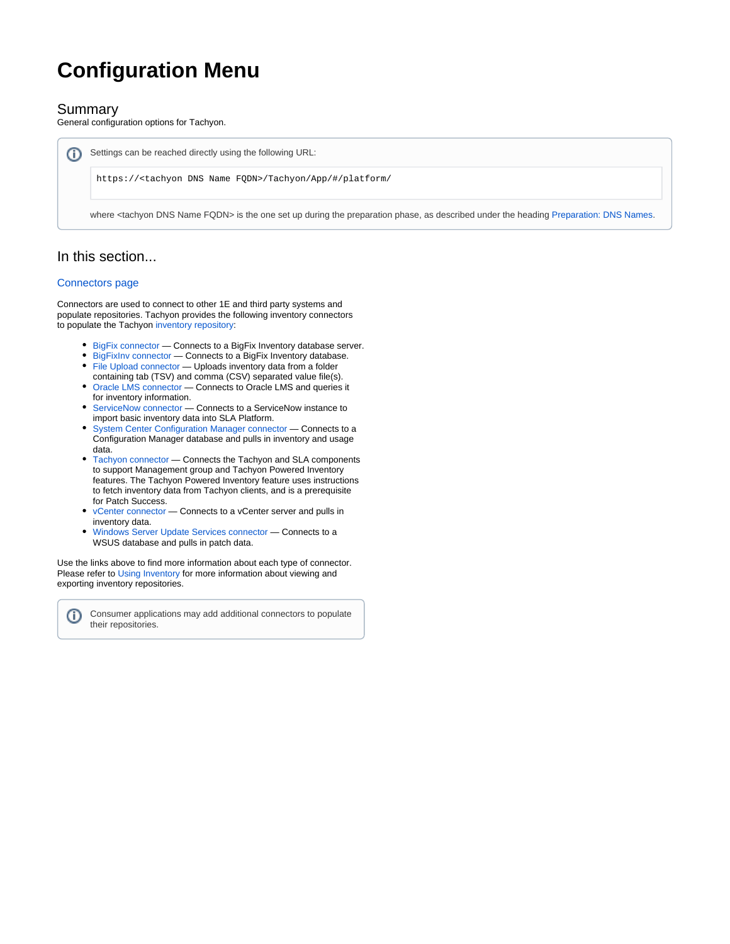# **Configuration Menu**

# Summary

General configuration options for Tachyon.

Settings can be reached directly using the following URL: ന

https://<tachyon DNS Name FQDN>/Tachyon/App/#/platform/

where <tachyon DNS Name FQDN> is the one set up during the preparation phase, as described under the heading [Preparation: DNS Names.](https://help.1e.com/display/TCN50/Preparation#Preparation-DNSNames)

# In this section...

## [Connectors page](https://help.1e.com/display/TCN50/Connectors+page)

Ü

Connectors are used to connect to other 1E and third party systems and populate repositories. Tachyon provides the following inventory connectors to populate the Tachyon [inventory repository](https://help.1e.com/display/TCN50/Repositories+page):

- **BigFix connector** Connects to a BigFix Inventory database server.
- [BigFixInv connector](https://help.1e.com/display/TCN50/BigFixInv+connector)  Connects to a BigFix Inventory database.
- [File Upload connector](https://help.1e.com/display/TCN50/File+Upload+connector)  Uploads inventory data from a folder
- containing tab (TSV) and comma (CSV) separated value file(s). [Oracle LMS connector](https://help.1e.com/display/TCN50/Oracle+LMS+connector) — Connects to Oracle LMS and queries it for inventory information.
- [ServiceNow connector](https://help.1e.com/display/TCN50/ServiceNow+connector) Connects to a ServiceNow instance to import basic inventory data into SLA Platform.
- [System Center Configuration Manager connector](https://help.1e.com/display/TCN50/System+Center+Configuration+Manager+connector) Connects to a Configuration Manager database and pulls in inventory and usage data.
- [Tachyon connector](https://help.1e.com/display/TCN50/Tachyon+connector)  Connects the Tachyon and SLA components to support Management group and Tachyon Powered Inventory features. The Tachyon Powered Inventory feature uses instructions to fetch inventory data from Tachyon clients, and is a prerequisite for Patch Success.
- [vCenter connector](https://help.1e.com/display/TCN50/vCenter+connector) Connects to a vCenter server and pulls in inventory data.
- [Windows Server Update Services connector](https://help.1e.com/display/TCN50/Windows+Server+Update+Services+connector)  Connects to a WSUS database and pulls in patch data.

Use the links above to find more information about each type of connector. Please refer to [Using Inventory](https://help.1e.com/display/TCN50/Using+Inventory) for more information about viewing and exporting inventory repositories.

Consumer applications may add additional connectors to populate their repositories.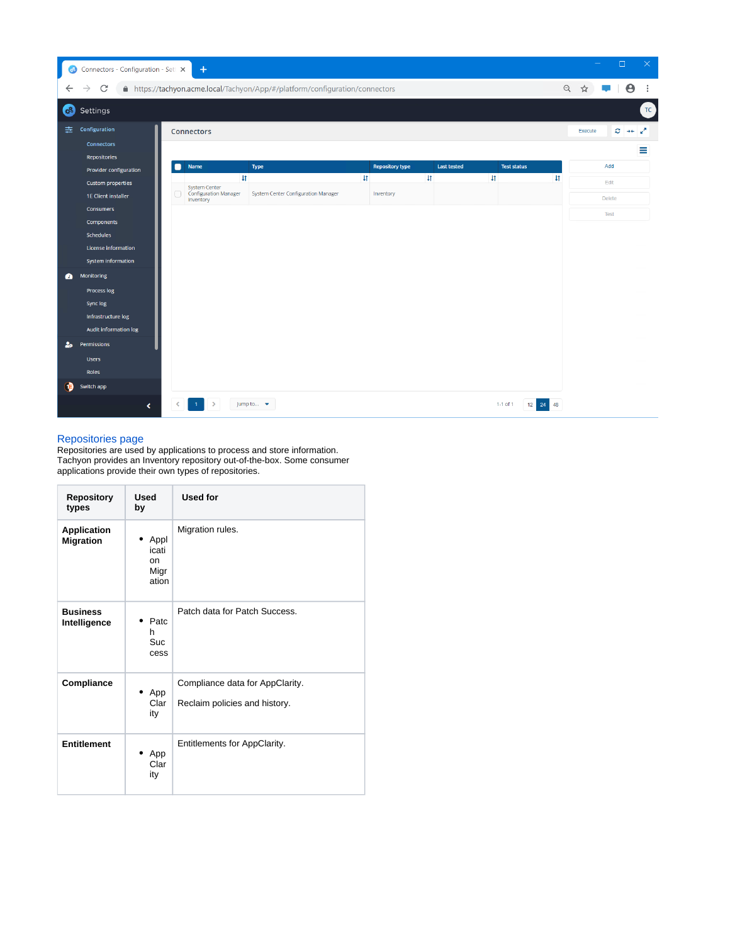| ි              | Connectors - Configuration - Setl X                    |   | $+$                                                               |                                                                              |                        |                          |                                   |               | $\Box$        | $\times$               |
|----------------|--------------------------------------------------------|---|-------------------------------------------------------------------|------------------------------------------------------------------------------|------------------------|--------------------------|-----------------------------------|---------------|---------------|------------------------|
| ←              | $\mathcal{C}$                                          |   |                                                                   | A https://tachyon.acme.local/Tachyon/App/#/platform/configuration/connectors |                        |                          |                                   | $\Theta$<br>☆ | Θ             |                        |
| 63             | Settings                                               |   |                                                                   |                                                                              |                        |                          |                                   |               |               | $\mathsf{T}\mathsf{C}$ |
| 圭              | Configuration                                          |   | Connectors                                                        |                                                                              |                        |                          |                                   | Execute       | $C +$         | V                      |
|                | <b>Connectors</b>                                      |   |                                                                   |                                                                              |                        |                          |                                   |               |               | Ξ                      |
|                | Repositories                                           | 0 | Name                                                              | <b>Type</b>                                                                  | <b>Repository type</b> | <b>Last tested</b>       | <b>Test status</b>                |               | Add           |                        |
|                | <b>Provider configuration</b>                          |   | $\downarrow$                                                      | $\downarrow$                                                                 |                        | $\ddagger$<br>$\ddagger$ | $\sharp$                          |               | Edit          |                        |
|                | <b>Custom properties</b><br><b>1E Client installer</b> |   | <b>System Center</b><br><b>Configuration Manager</b><br>Inventory | System Center Configuration Manager                                          | Inventory              |                          |                                   |               | <b>Delete</b> |                        |
|                | <b>Consumers</b>                                       |   |                                                                   |                                                                              |                        |                          |                                   |               | Test          |                        |
|                | Components                                             |   |                                                                   |                                                                              |                        |                          |                                   |               |               |                        |
|                | <b>Schedules</b>                                       |   |                                                                   |                                                                              |                        |                          |                                   |               |               |                        |
|                | License information<br>System information              |   |                                                                   |                                                                              |                        |                          |                                   |               |               |                        |
|                |                                                        |   |                                                                   |                                                                              |                        |                          |                                   |               |               |                        |
| $\bullet$      | Monitoring                                             |   |                                                                   |                                                                              |                        |                          |                                   |               |               |                        |
|                | <b>Process log</b>                                     |   |                                                                   |                                                                              |                        |                          |                                   |               |               |                        |
|                | Sync log<br>Infrastructure log                         |   |                                                                   |                                                                              |                        |                          |                                   |               |               |                        |
|                | Audit information log                                  |   |                                                                   |                                                                              |                        |                          |                                   |               |               |                        |
| 2 <sub>o</sub> | Permissions                                            |   |                                                                   |                                                                              |                        |                          |                                   |               |               |                        |
|                | <b>Users</b>                                           |   |                                                                   |                                                                              |                        |                          |                                   |               |               |                        |
|                | Roles                                                  |   |                                                                   |                                                                              |                        |                          |                                   |               |               |                        |
| Э              | Switch app                                             |   |                                                                   |                                                                              |                        |                          |                                   |               |               |                        |
|                | ∢                                                      |   |                                                                   | Jump to ▼                                                                    |                        |                          | $1-1$ of 1<br>24<br>$12-12$<br>48 |               |               |                        |

#### [Repositories page](https://help.1e.com/display/TCN50/Repositories+page)

Repositories are used by applications to process and store information. Tachyon provides an Inventory repository out-of-the-box. Some consumer applications provide their own types of repositories.

| <b>Repository</b><br>types             | <b>Used</b><br>by                               | <b>Used for</b>                                                  |
|----------------------------------------|-------------------------------------------------|------------------------------------------------------------------|
| <b>Application</b><br><b>Migration</b> | Appl<br>icati<br><sub>on</sub><br>Migr<br>ation | Migration rules.                                                 |
| <b>Business</b><br>Intelligence        | Patc<br>h<br>Suc<br>cess                        | Patch data for Patch Success.                                    |
| Compliance                             | App<br>Clar<br>ity                              | Compliance data for AppClarity.<br>Reclaim policies and history. |
| <b>Entitlement</b>                     | App<br>Clar<br>ity                              | Entitlements for AppClarity.                                     |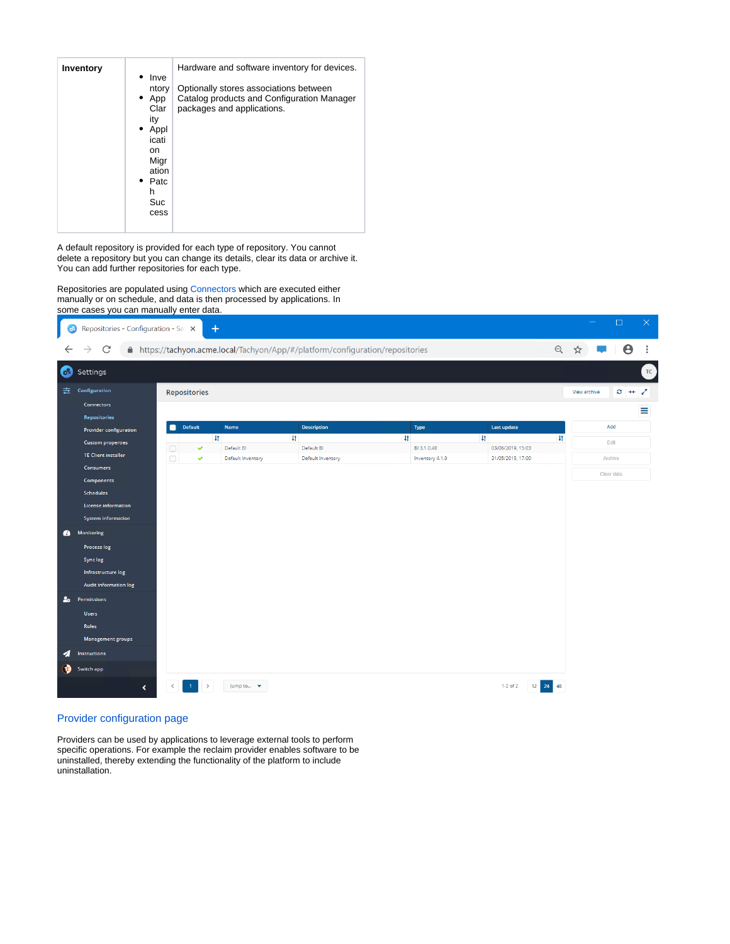| <b>Inventory</b> | Inve<br>ntory<br>$\bullet$ App<br>Clar<br>ity<br>Appl<br>$\bullet$<br>icati<br>on<br>Migr<br>ation<br>Patc<br>h<br>Suc<br>cess | Hardware and software inventory for devices.<br>Optionally stores associations between<br>Catalog products and Configuration Manager<br>packages and applications. |
|------------------|--------------------------------------------------------------------------------------------------------------------------------|--------------------------------------------------------------------------------------------------------------------------------------------------------------------|
|                  |                                                                                                                                |                                                                                                                                                                    |

A default repository is provided for each type of repository. You cannot delete a repository but you can change its details, clear its data or archive it. You can add further repositories for each type.

Repositories are populated using [Connectors](https://help.1e.com/display/TCN50/Connectors+page) which are executed either manually or on schedule, and data is then processed by applications. In some cases you can manually enter data.



## [Provider configuration page](https://help.1e.com/display/TCN50/Provider+configuration+page)

Providers can be used by applications to leverage external tools to perform specific operations. For example the reclaim provider enables software to be uninstalled, thereby extending the functionality of the platform to include uninstallation.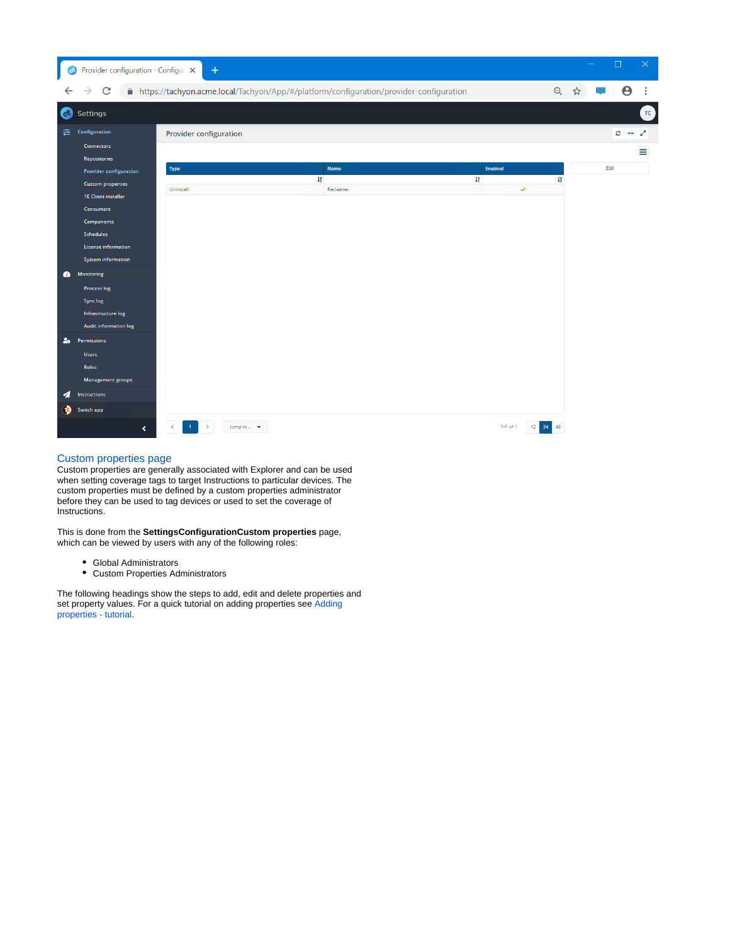| ್ಯ             | Provider configuration - Configur $\mathbf{\times}$  | $+$                    |                                                                                          |                |                          | - | $\Box$  | $\times$               |
|----------------|------------------------------------------------------|------------------------|------------------------------------------------------------------------------------------|----------------|--------------------------|---|---------|------------------------|
|                | C                                                    |                        | A https://tachyon.acme.local/Tachyon/App/#/platform/configuration/provider-configuration |                | Q                        | ☆ | e       |                        |
| ිසි            | Settings                                             |                        |                                                                                          |                |                          |   |         | $\mathsf{T}\mathsf{C}$ |
| 圭              | Configuration                                        | Provider configuration |                                                                                          |                |                          |   | $C + C$ |                        |
|                | <b>Connectors</b>                                    |                        |                                                                                          |                |                          |   |         | ≡                      |
|                | <b>Repositories</b><br><b>Provider configuration</b> | Type                   | <b>Name</b>                                                                              | <b>Enabled</b> |                          |   | Edit    |                        |
|                | <b>Custom properties</b>                             |                        | $\downarrow$                                                                             | $\uparrow$     |                          |   |         |                        |
|                | <b>1E Client installer</b>                           | Uninstall              | Reclaimer                                                                                |                | $\checkmark$             |   |         |                        |
|                | Consumers                                            |                        |                                                                                          |                |                          |   |         |                        |
|                | Components                                           |                        |                                                                                          |                |                          |   |         |                        |
|                | <b>Schedules</b>                                     |                        |                                                                                          |                |                          |   |         |                        |
|                | License information                                  |                        |                                                                                          |                |                          |   |         |                        |
|                | System information                                   |                        |                                                                                          |                |                          |   |         |                        |
| $\bullet$      | Monitoring                                           |                        |                                                                                          |                |                          |   |         |                        |
|                | <b>Process log</b>                                   |                        |                                                                                          |                |                          |   |         |                        |
|                | Sync log                                             |                        |                                                                                          |                |                          |   |         |                        |
|                | Infrastructure log                                   |                        |                                                                                          |                |                          |   |         |                        |
|                | Audit information log                                |                        |                                                                                          |                |                          |   |         |                        |
| 2 <sub>o</sub> | Permissions                                          |                        |                                                                                          |                |                          |   |         |                        |
|                | <b>Users</b>                                         |                        |                                                                                          |                |                          |   |         |                        |
|                | Roles                                                |                        |                                                                                          |                |                          |   |         |                        |
|                | Management groups                                    |                        |                                                                                          |                |                          |   |         |                        |
| ◢              | Instructions                                         |                        |                                                                                          |                |                          |   |         |                        |
| Э              | Switch app                                           |                        |                                                                                          |                |                          |   |         |                        |
|                | ∢                                                    | Jump to v              |                                                                                          | $1-1$ of $1$   | 12 <sup>1</sup><br>24 48 |   |         |                        |

# [Custom properties page](https://help.1e.com/display/TCN50/Custom+properties+page)

Custom properties are generally associated with Explorer and can be used when setting coverage tags to target Instructions to particular devices. The custom properties must be defined by a custom properties administrator before they can be used to tag devices or used to set the coverage of **Instructions.** 

This is done from the **SettingsConfigurationCustom properties** page, which can be viewed by users with any of the following roles:

- Global Administrators
- Custom Properties Administrators

The following headings show the steps to add, edit and delete properties and set property values. For a quick tutorial on adding properties see Adding [properties - tutorial.](https://help.1e.com/display/TCN50/Adding+properties+-+tutorial)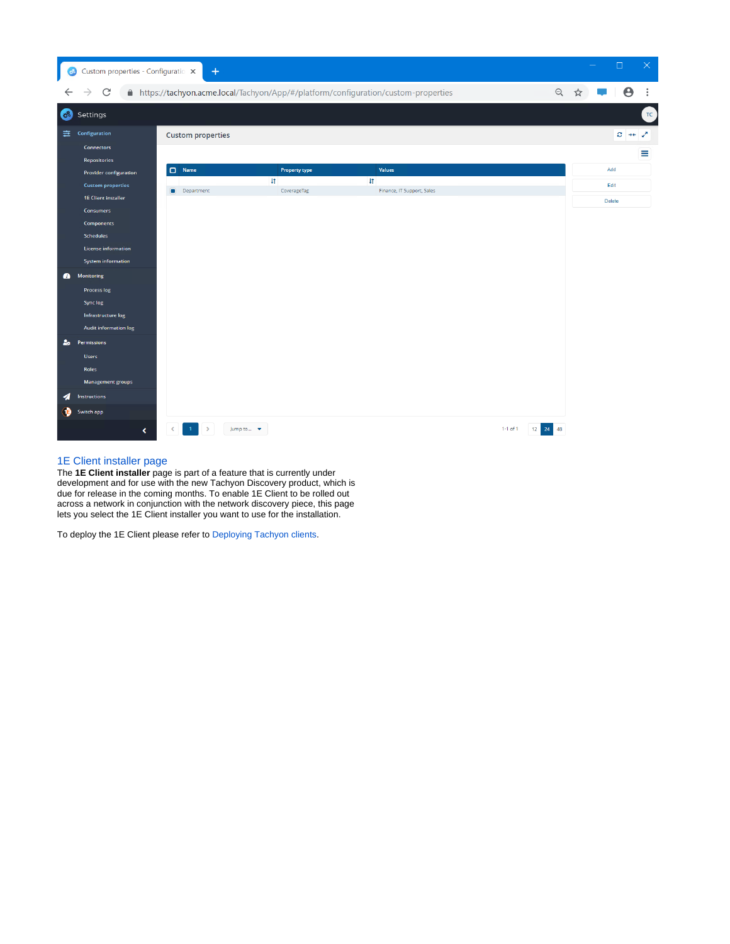| ್ತಿ            | Custom properties - Configuratio $\,$ $\times$         | $\ddot{}$                    |                                    |                                                                                     |                          | $\Box$<br>$\times$     |
|----------------|--------------------------------------------------------|------------------------------|------------------------------------|-------------------------------------------------------------------------------------|--------------------------|------------------------|
|                | C                                                      |                              |                                    | ● https://tachyon.acme.local/Tachyon/App/#/platform/configuration/custom-properties | Q                        | $\frac{1}{2}$<br>e     |
| සි             | Settings                                               |                              |                                    |                                                                                     |                          | $\mathsf{T}\mathsf{C}$ |
| 圭              | Configuration                                          | <b>Custom properties</b>     |                                    |                                                                                     |                          | $C \rightarrow C$      |
|                | <b>Connectors</b><br><b>Repositories</b>               |                              |                                    |                                                                                     |                          | Ξ                      |
|                | Provider configuration                                 | $\Box$ Name                  | <b>Property type</b><br>$\uparrow$ | <b>Values</b><br>$\ddagger$                                                         |                          | Add                    |
|                | <b>Custom properties</b><br><b>1E Client installer</b> | Department<br>$\blacksquare$ | CoverageTag                        | Finance, IT Support, Sales                                                          |                          | Edit<br><b>Delete</b>  |
|                | <b>Consumers</b>                                       |                              |                                    |                                                                                     |                          |                        |
|                | Components<br><b>Schedules</b>                         |                              |                                    |                                                                                     |                          |                        |
|                | License information                                    |                              |                                    |                                                                                     |                          |                        |
|                | System information                                     |                              |                                    |                                                                                     |                          |                        |
| $\bullet$      | <b>Monitoring</b><br><b>Process log</b>                |                              |                                    |                                                                                     |                          |                        |
|                | <b>Synclog</b>                                         |                              |                                    |                                                                                     |                          |                        |
|                | Infrastructure log                                     |                              |                                    |                                                                                     |                          |                        |
| 2 <sub>o</sub> | Audit information log<br>Permissions                   |                              |                                    |                                                                                     |                          |                        |
|                | <b>Users</b>                                           |                              |                                    |                                                                                     |                          |                        |
|                | <b>Roles</b>                                           |                              |                                    |                                                                                     |                          |                        |
| ◢              | Management groups<br><b>Instructions</b>               |                              |                                    |                                                                                     |                          |                        |
| э              | Switch app                                             |                              |                                    |                                                                                     |                          |                        |
|                | $\triangleleft$                                        | ≺                            | Jump to v                          |                                                                                     | $1-1$ of $1$<br>12 24 48 |                        |

## [1E Client installer page](https://help.1e.com/display/TCN50/1E+Client+installer+page)

The **1E Client installer** page is part of a feature that is currently under development and for use with the new Tachyon Discovery product, which is due for release in the coming months. To enable 1E Client to be rolled out across a network in conjunction with the network discovery piece, this page lets you select the 1E Client installer you want to use for the installation.

To deploy the 1E Client please refer to [Deploying Tachyon clients.](https://help.1e.com/display/TCN50/Deploying+Tachyon+clients)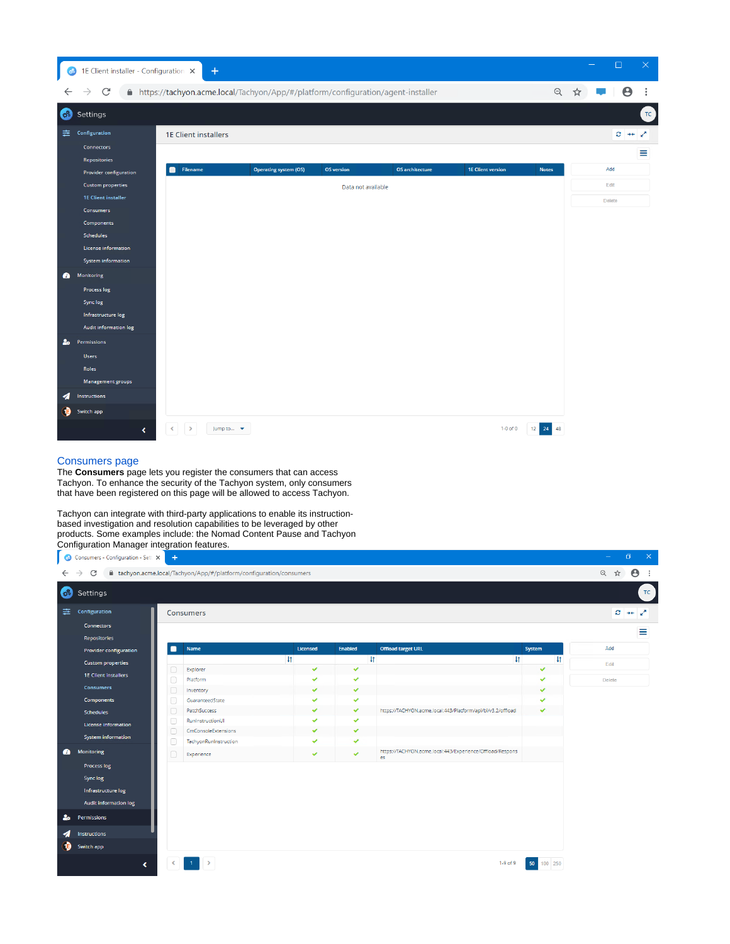| ಿ                           | 1E Client installer - Configuration X                                                                                                                                                                                                                                                                           | $\ddot{}$                   |                                                                                   |                                         |                        |                          |                     | $\Box$                     | $\times$ |
|-----------------------------|-----------------------------------------------------------------------------------------------------------------------------------------------------------------------------------------------------------------------------------------------------------------------------------------------------------------|-----------------------------|-----------------------------------------------------------------------------------|-----------------------------------------|------------------------|--------------------------|---------------------|----------------------------|----------|
| ←                           | $\mathcal{C}$<br>$\rightarrow$                                                                                                                                                                                                                                                                                  |                             | ■ https://tachyon.acme.local/Tachyon/App/#/platform/configuration/agent-installer |                                         |                        |                          | Q                   | $\boldsymbol{\Theta}$<br>☆ | ÷        |
| <b>Colo</b>                 | Settings                                                                                                                                                                                                                                                                                                        |                             |                                                                                   |                                         |                        |                          |                     |                            | TC       |
| 圭                           | Configuration<br><b>Connectors</b><br>Repositories                                                                                                                                                                                                                                                              | <b>1E Client installers</b> |                                                                                   |                                         |                        |                          |                     | $C \rightarrow C$          | Ξ        |
| $\bullet$<br>2 <sub>o</sub> | Provider configuration<br><b>Custom properties</b><br><b>1E Client installer</b><br><b>Consumers</b><br>Components<br><b>Schedules</b><br><b>License information</b><br>System information<br><b>Monitoring</b><br><b>Process log</b><br>Sync log<br>Infrastructure log<br>Audit information log<br>Permissions | Filename<br>m               | <b>Operating system (OS)</b>                                                      | <b>OS</b> version<br>Data not available | <b>OS</b> architecture | <b>1E Client version</b> | <b>Notes</b>        | Add<br>Edit<br>Delete      |          |
| Q,<br>13                    | <b>Users</b><br>Roles<br><b>Management groups</b><br>Instructions<br>Switch app<br>$\blacktriangleleft$                                                                                                                                                                                                         | Jump to v<br>≺              |                                                                                   |                                         |                        | $1-0$ of $0$             | $12 \quad 24$<br>48 |                            |          |

## [Consumers page](https://help.1e.com/display/TCN50/Consumers+page)

The **Consumers** page lets you register the consumers that can access Tachyon. To enhance the security of the Tachyon system, only consumers that have been registered on this page will be allowed to access Tachyon.

Tachyon can integrate with third-party applications to enable its instructionbased investigation and resolution capabilities to be leveraged by other products. Some examples include: the Nomad Content Pause and Tachyon Configuration Manager integration features.

|    | <b>63</b> Consumers - Configuration - Sett X | $+$                                              |                                                                     |              |                              |                           |                                                             |              |              | ◘.                                      | × |
|----|----------------------------------------------|--------------------------------------------------|---------------------------------------------------------------------|--------------|------------------------------|---------------------------|-------------------------------------------------------------|--------------|--------------|-----------------------------------------|---|
|    | C<br>$\rightarrow$                           |                                                  | ■ tachyon.acme.local/Tachyon/App/#/platform/configuration/consumers |              |                              |                           |                                                             |              |              | $\Theta$ :<br>◎ ☆                       |   |
| 63 | Settings                                     |                                                  |                                                                     |              |                              |                           |                                                             |              |              | $TC$                                    |   |
| 由  | Configuration                                |                                                  | <b>Consumers</b>                                                    |              |                              |                           |                                                             |              |              | $C \rightarrow \rightarrow \rightarrow$ |   |
|    | <b>Connectors</b>                            |                                                  |                                                                     |              |                              |                           |                                                             |              |              |                                         |   |
|    | Repositories                                 |                                                  |                                                                     |              |                              |                           |                                                             |              |              | Ξ                                       |   |
|    | <b>Provider configuration</b>                | ⊓                                                | Name                                                                | Licensed     | Enabled                      | <b>Offload target URL</b> |                                                             | System       |              | Add                                     |   |
|    | <b>Custom properties</b>                     |                                                  |                                                                     | $\downarrow$ |                              | $\ddagger$                | $\downarrow$                                                |              | $\downarrow$ | Edit                                    |   |
|    | <b>1E Client installers</b>                  | $\Box$                                           | Explorer                                                            | v            | $\checkmark$                 |                           |                                                             | $\checkmark$ |              |                                         |   |
|    | <b>Consumers</b>                             | $\bigcirc$                                       | Platform                                                            | ✓            | $\checkmark$                 |                           |                                                             | ✓            |              | <b>Delete</b>                           |   |
|    | Components                                   | $\Box$<br>$\begin{array}{c} \square \end{array}$ | Inventory<br>GuaranteedState                                        | v<br>v       | $\checkmark$<br>$\checkmark$ |                           |                                                             | v<br>v       |              |                                         |   |
|    | <b>Schedules</b>                             | $\Box$                                           | PatchSuccess                                                        | ✔            | ✓                            |                           | https://TACHYON.acme.local:443/Platform/api/bi/v3.2/offload | v            |              |                                         |   |
|    |                                              | $\bigcap$                                        | RunInstructionUI                                                    | $\checkmark$ | $\checkmark$                 |                           |                                                             |              |              |                                         |   |
|    | License information                          | $\Box$                                           | CmConsoleExtensions                                                 | v            | $\checkmark$                 |                           |                                                             |              |              |                                         |   |
|    | System information                           | $\Box$                                           | TachyonRunInstruction                                               | ✓            | $\checkmark$                 |                           |                                                             |              |              |                                         |   |
| ▲  | <b>Monitoring</b>                            | $\Box$                                           | Experience                                                          | $\checkmark$ | $\checkmark$                 | es.                       | https://TACHYON.acme.local:443/Experience/Offload/Respons   |              |              |                                         |   |
|    | Process log                                  |                                                  |                                                                     |              |                              |                           |                                                             |              |              |                                         |   |
|    | Sync log                                     |                                                  |                                                                     |              |                              |                           |                                                             |              |              |                                         |   |
|    | Infrastructure log                           |                                                  |                                                                     |              |                              |                           |                                                             |              |              |                                         |   |
|    | Audit information log                        |                                                  |                                                                     |              |                              |                           |                                                             |              |              |                                         |   |
| ಹಿ | Permissions                                  |                                                  |                                                                     |              |                              |                           |                                                             |              |              |                                         |   |
| ∢⊧ | Instructions                                 |                                                  |                                                                     |              |                              |                           |                                                             |              |              |                                         |   |
| O  | Switch app                                   |                                                  |                                                                     |              |                              |                           |                                                             |              |              |                                         |   |
|    | ∢                                            |                                                  | $-1$                                                                |              |                              |                           | 1-9 of 9                                                    | 50           | 100 250      |                                         |   |
|    |                                              |                                                  |                                                                     |              |                              |                           |                                                             |              |              |                                         |   |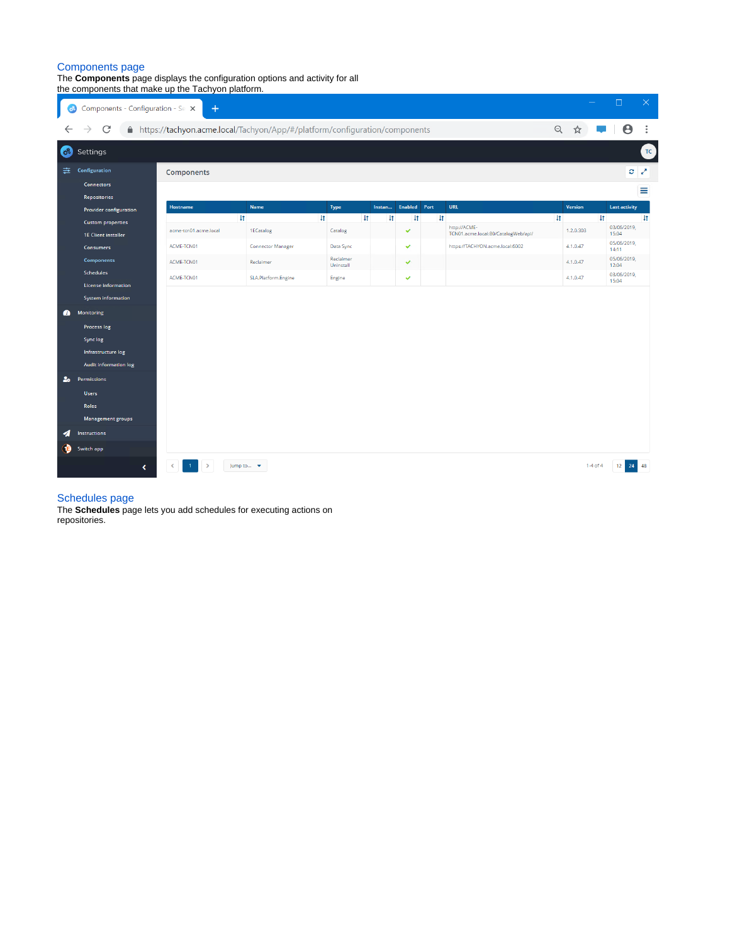#### [Components page](https://help.1e.com/display/TCN50/Components+page)

The **Components** page displays the configuration options and activity for all the components that make up the Tachyon platform.

|                             | the components that make up the Tachyon platform.                                                                                                                       |                                                                              |                               |                        |              |                        |                                     |              |                                                     |            |                |              |                      |                 |
|-----------------------------|-------------------------------------------------------------------------------------------------------------------------------------------------------------------------|------------------------------------------------------------------------------|-------------------------------|------------------------|--------------|------------------------|-------------------------------------|--------------|-----------------------------------------------------|------------|----------------|--------------|----------------------|-----------------|
| ි                           | Components - Configuration - Se X                                                                                                                                       | $+$                                                                          |                               |                        |              |                        |                                     |              |                                                     |            |                |              | $\Box$               | $\times$        |
|                             | C                                                                                                                                                                       | A https://tachyon.acme.local/Tachyon/App/#/platform/configuration/components |                               |                        |              |                        |                                     |              |                                                     | $\Theta$   |                |              | Θ                    |                 |
| $C^2$                       | Settings                                                                                                                                                                |                                                                              |                               |                        |              |                        |                                     |              |                                                     |            |                |              |                      | $TC$            |
| 圭。                          | Configuration                                                                                                                                                           | Components                                                                   |                               |                        |              |                        |                                     |              |                                                     |            |                |              |                      | $\sigma \times$ |
|                             | <b>Connectors</b>                                                                                                                                                       |                                                                              |                               |                        |              |                        |                                     |              |                                                     |            |                |              |                      | Ξ               |
|                             | <b>Repositories</b>                                                                                                                                                     |                                                                              |                               |                        |              |                        |                                     |              |                                                     |            |                |              |                      |                 |
|                             | Provider configuration                                                                                                                                                  | <b>Hostname</b>                                                              | <b>Name</b><br>$\downarrow$ t | Type<br>$\downarrow$   | $\downarrow$ | Instan<br>$\downarrow$ | <b>Enabled</b> Port<br>$\downarrow$ | $\downarrow$ | <b>URL</b>                                          | $\ddagger$ | <b>Version</b> | $\downarrow$ | <b>Last activity</b> | $\downarrow$    |
|                             | <b>Custom properties</b><br><b>1E Client installer</b>                                                                                                                  | acme-tcn01.acme.local                                                        | 1ECatalog                     | Catalog                |              |                        | v                                   |              | http://ACME-<br>TCN01.acme.local:80/CatalogWeb/api/ |            | 1.2.0.303      |              | 03/06/2019,<br>15:04 |                 |
|                             | <b>Consumers</b>                                                                                                                                                        | ACME-TCN01                                                                   | <b>Connector Manager</b>      | Data Sync              |              |                        | v                                   |              | https://TACHYON.acme.local:6002                     |            | 4.1.0.47       |              | 05/06/2019,<br>14:11 |                 |
|                             | <b>Components</b>                                                                                                                                                       | ACME-TCN01                                                                   | Reclaimer                     | Reclaimer<br>Uninstall |              |                        | ٧                                   |              |                                                     |            | 4.1.0.47       |              | 05/06/2019,<br>12:04 |                 |
|                             | Schedules<br><b>License information</b>                                                                                                                                 | ACME-TCN01                                                                   | SLA.Platform.Engine           | Engine                 |              |                        | ✔                                   |              |                                                     |            | 4.1.0.47       |              | 03/06/2019,<br>15:04 |                 |
| $\bullet$<br>2 <sub>o</sub> | System information<br><b>Monitoring</b><br>Process log<br><b>Sync log</b><br>Infrastructure log<br>Audit information log<br>Permissions<br><b>Users</b><br><b>Roles</b> |                                                                              |                               |                        |              |                        |                                     |              |                                                     |            |                |              |                      |                 |
| ◢                           | <b>Management groups</b><br>Instructions                                                                                                                                |                                                                              |                               |                        |              |                        |                                     |              |                                                     |            |                |              |                      |                 |
| Ð                           | Switch app<br>∢                                                                                                                                                         |                                                                              | Jump to v                     |                        |              |                        |                                     |              |                                                     |            |                | $1-4$ of $4$ | 12 <sup>1</sup>      | 24 48           |

#### [Schedules page](https://help.1e.com/display/TCN50/Schedules+page)

The **Schedules** page lets you add schedules for executing actions on repositories.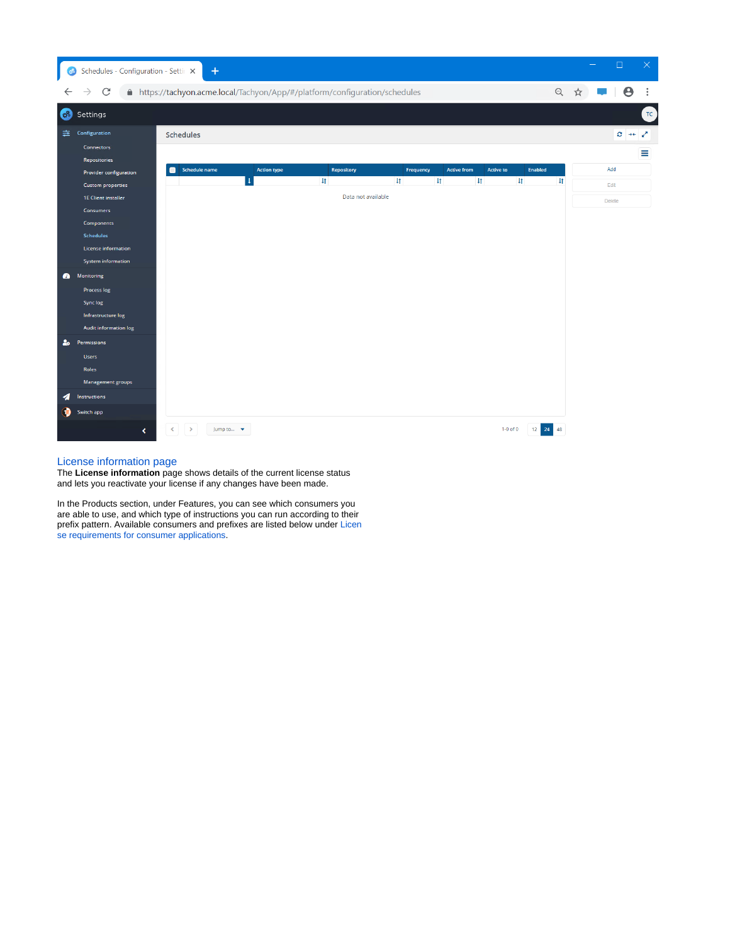| ි                           | Schedules - Configuration - Settir X                                                                                                                                                                                                                                                                                                                                    | $+$                                                                         |                                    |                                                  |                         |                                    |                                  |                                |               | $\Box$                                            | $\times$ |
|-----------------------------|-------------------------------------------------------------------------------------------------------------------------------------------------------------------------------------------------------------------------------------------------------------------------------------------------------------------------------------------------------------------------|-----------------------------------------------------------------------------|------------------------------------|--------------------------------------------------|-------------------------|------------------------------------|----------------------------------|--------------------------------|---------------|---------------------------------------------------|----------|
|                             | $\mathcal{C}$                                                                                                                                                                                                                                                                                                                                                           | A https://tachyon.acme.local/Tachyon/App/#/platform/configuration/schedules |                                    |                                                  |                         |                                    |                                  |                                | $\Theta$<br>☆ | $\boldsymbol{\Theta}$                             | $\vdots$ |
| 68                          | Settings                                                                                                                                                                                                                                                                                                                                                                |                                                                             |                                    |                                                  |                         |                                    |                                  |                                |               |                                                   | TC       |
| 圭<br>$\bullet$<br>$2\sigma$ | Configuration<br><b>Connectors</b><br>Repositories<br>Provider configuration<br><b>Custom properties</b><br><b>1E Client installer</b><br><b>Consumers</b><br><b>Components</b><br>Schedules<br><b>License information</b><br>System information<br>Monitoring<br>Process log<br>Sync log<br>Infrastructure log<br>Audit information log<br>Permissions<br><b>Users</b> | Schedules<br>Schedule name                                                  | <b>Action type</b><br>$\downarrow$ | Repository<br>$\downarrow$<br>Data not available | Frequency<br>$\ddagger$ | <b>Active from</b><br>$\downarrow$ | <b>Active to</b><br>$\downarrow$ | <b>Enabled</b><br>$\downarrow$ | $\downarrow$  | $C \rightarrow + \infty$<br>Add<br>Edit<br>Delete | Ξ        |
| ◢<br>6)                     | Roles<br>Management groups<br>Instructions<br>Switch app<br>$\left\langle \right\rangle$                                                                                                                                                                                                                                                                                | $\leq$<br>$\rightarrow$<br>Jump to v                                        |                                    |                                                  |                         |                                    | $1-0$ of $0$                     | 12 24 48                       |               |                                                   |          |

## [License information page](https://help.1e.com/display/TCN50/License+information+page)

The **License information** page shows details of the current license status and lets you reactivate your license if any changes have been made.

In the Products section, under Features, you can see which consumers you are able to use, and which type of instructions you can run according to their prefix pattern. Available consumers and prefixes are listed below under Licen se requirements for consumer applications.